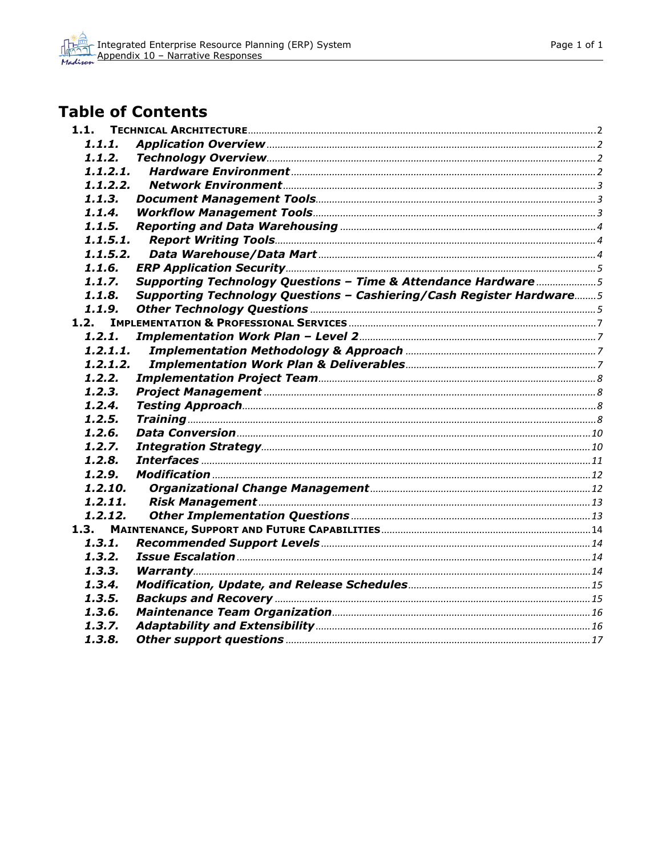# **Table of Contents**

| 1.1.1.      |                                                                      |  |
|-------------|----------------------------------------------------------------------|--|
| 1.1.2.      |                                                                      |  |
|             |                                                                      |  |
| 1.1.2.2.    |                                                                      |  |
| 1.1.3.      |                                                                      |  |
| 1.1.4.      |                                                                      |  |
| 1.1.5.      |                                                                      |  |
| 1.1.5.1.    |                                                                      |  |
| 1.1.5.2.    |                                                                      |  |
| 1.1.6.      |                                                                      |  |
| 1.1.7.      | Supporting Technology Questions - Time & Attendance Hardware 5       |  |
| 1.1.8.      | Supporting Technology Questions - Cashiering/Cash Register Hardware5 |  |
| 1.1.9.      |                                                                      |  |
|             |                                                                      |  |
| 1.2.1.      |                                                                      |  |
| 1.2.1.1.    |                                                                      |  |
| 1, 2, 1, 2, |                                                                      |  |
| 1.2.2.      |                                                                      |  |
| 1.2.3.      |                                                                      |  |
| 1.2.4.      |                                                                      |  |
| 1.2.5.      |                                                                      |  |
| 1.2.6.      |                                                                      |  |
| 1.2.7.      |                                                                      |  |
| 1, 2, 8,    |                                                                      |  |
| 1.2.9.      |                                                                      |  |
| 1.2.10.     |                                                                      |  |
| 1, 2, 11,   |                                                                      |  |
| 1, 2, 12,   |                                                                      |  |
| 1.3.        |                                                                      |  |
| 1.3.1.      |                                                                      |  |
| 1.3.2.      |                                                                      |  |
| 1, 3, 3,    |                                                                      |  |
| 1.3.4.      |                                                                      |  |
| 1,3,5.      |                                                                      |  |
| 1.3.6.      |                                                                      |  |
| 1.3.7.      |                                                                      |  |
| 1, 3, 8,    |                                                                      |  |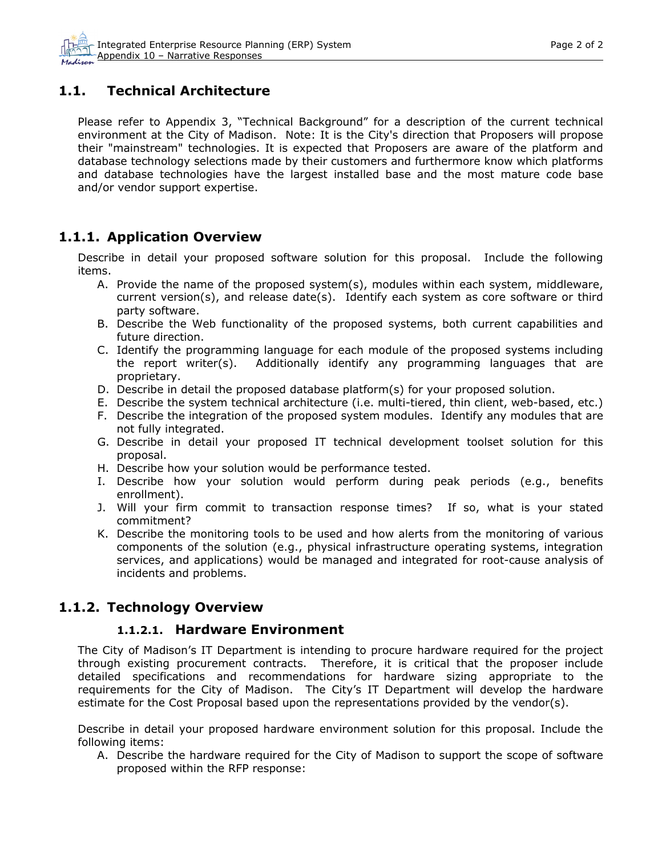## <span id="page-1-0"></span>**1.1. Technical Architecture**

Please refer to Appendix 3, "Technical Background" for a description of the current technical environment at the City of Madison. Note: It is the City's direction that Proposers will propose their "mainstream" technologies. It is expected that Proposers are aware of the platform and database technology selections made by their customers and furthermore know which platforms and database technologies have the largest installed base and the most mature code base and/or vendor support expertise.

### **1.1.1. Application Overview**

Describe in detail your proposed software solution for this proposal. Include the following items.

- A. Provide the name of the proposed system(s), modules within each system, middleware, current version(s), and release date(s). Identify each system as core software or third party software.
- B. Describe the Web functionality of the proposed systems, both current capabilities and future direction.
- C. Identify the programming language for each module of the proposed systems including the report writer(s). Additionally identify any programming languages that are proprietary.
- D. Describe in detail the proposed database platform(s) for your proposed solution.
- E. Describe the system technical architecture (i.e. multi-tiered, thin client, web-based, etc.)
- F. Describe the integration of the proposed system modules. Identify any modules that are not fully integrated.
- G. Describe in detail your proposed IT technical development toolset solution for this proposal.
- H. Describe how your solution would be performance tested.
- I. Describe how your solution would perform during peak periods (e.g., benefits enrollment).
- J. Will your firm commit to transaction response times? If so, what is your stated commitment?
- K. Describe the monitoring tools to be used and how alerts from the monitoring of various components of the solution (e.g., physical infrastructure operating systems, integration services, and applications) would be managed and integrated for root-cause analysis of incidents and problems.

### **1.1.2. Technology Overview**

#### **1.1.2.1. Hardware Environment**

The City of Madison's IT Department is intending to procure hardware required for the project through existing procurement contracts. Therefore, it is critical that the proposer include detailed specifications and recommendations for hardware sizing appropriate to the requirements for the City of Madison. The City's IT Department will develop the hardware estimate for the Cost Proposal based upon the representations provided by the vendor(s).

Describe in detail your proposed hardware environment solution for this proposal. Include the following items:

A. Describe the hardware required for the City of Madison to support the scope of software proposed within the RFP response: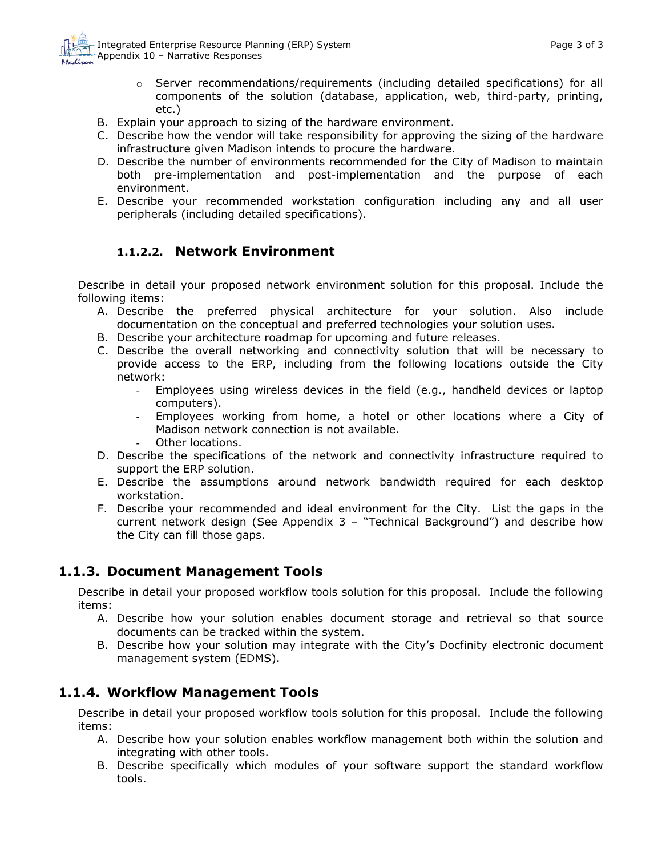- $\circ$  Server recommendations/requirements (including detailed specifications) for all components of the solution (database, application, web, third-party, printing, etc.)
- <span id="page-2-0"></span>B. Explain your approach to sizing of the hardware environment.
- C. Describe how the vendor will take responsibility for approving the sizing of the hardware infrastructure given Madison intends to procure the hardware.
- D. Describe the number of environments recommended for the City of Madison to maintain both pre-implementation and post-implementation and the purpose of each environment.
- E. Describe your recommended workstation configuration including any and all user peripherals (including detailed specifications).

### **1.1.2.2. Network Environment**

Describe in detail your proposed network environment solution for this proposal. Include the following items:

- A. Describe the preferred physical architecture for your solution. Also include documentation on the conceptual and preferred technologies your solution uses.
- B. Describe your architecture roadmap for upcoming and future releases.
- C. Describe the overall networking and connectivity solution that will be necessary to provide access to the ERP, including from the following locations outside the City network:
	- Employees using wireless devices in the field (e.g., handheld devices or laptop computers).
	- Employees working from home, a hotel or other locations where a City of Madison network connection is not available.
	- Other locations.
- D. Describe the specifications of the network and connectivity infrastructure required to support the ERP solution.
- E. Describe the assumptions around network bandwidth required for each desktop workstation.
- F. Describe your recommended and ideal environment for the City. List the gaps in the current network design (See Appendix 3 – "Technical Background") and describe how the City can fill those gaps.

### **1.1.3. Document Management Tools**

Describe in detail your proposed workflow tools solution for this proposal. Include the following items:

- A. Describe how your solution enables document storage and retrieval so that source documents can be tracked within the system.
- B. Describe how your solution may integrate with the City's Docfinity electronic document management system (EDMS).

### **1.1.4. Workflow Management Tools**

Describe in detail your proposed workflow tools solution for this proposal. Include the following items:

- A. Describe how your solution enables workflow management both within the solution and integrating with other tools.
- B. Describe specifically which modules of your software support the standard workflow tools.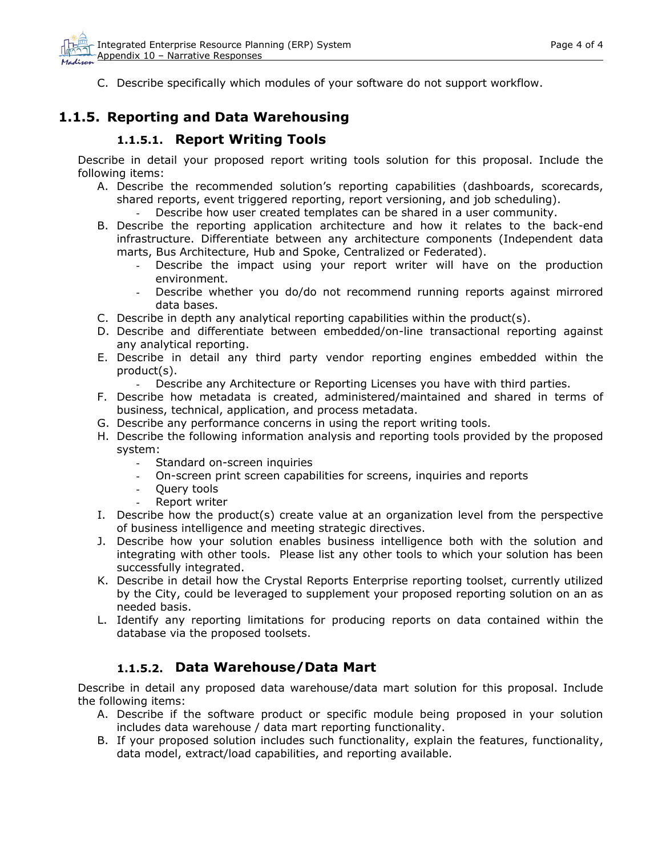<span id="page-3-0"></span>C. Describe specifically which modules of your software do not support workflow.

## **1.1.5. Reporting and Data Warehousing**

#### **1.1.5.1. Report Writing Tools**

Describe in detail your proposed report writing tools solution for this proposal. Include the following items:

- A. Describe the recommended solution's reporting capabilities (dashboards, scorecards, shared reports, event triggered reporting, report versioning, and job scheduling).
	- Describe how user created templates can be shared in a user community.
- B. Describe the reporting application architecture and how it relates to the back-end infrastructure. Differentiate between any architecture components (Independent data marts, Bus Architecture, Hub and Spoke, Centralized or Federated).
	- Describe the impact using your report writer will have on the production environment.
	- Describe whether you do/do not recommend running reports against mirrored data bases.
- C. Describe in depth any analytical reporting capabilities within the product(s).
- D. Describe and differentiate between embedded/on-line transactional reporting against any analytical reporting.
- E. Describe in detail any third party vendor reporting engines embedded within the product(s).
	- Describe any Architecture or Reporting Licenses you have with third parties.
- F. Describe how metadata is created, administered/maintained and shared in terms of business, technical, application, and process metadata.
- G. Describe any performance concerns in using the report writing tools.
- H. Describe the following information analysis and reporting tools provided by the proposed system:
	- Standard on-screen inquiries
	- On-screen print screen capabilities for screens, inquiries and reports
	- Query tools
	- Report writer
- I. Describe how the product(s) create value at an organization level from the perspective of business intelligence and meeting strategic directives.
- J. Describe how your solution enables business intelligence both with the solution and integrating with other tools. Please list any other tools to which your solution has been successfully integrated.
- K. Describe in detail how the Crystal Reports Enterprise reporting toolset, currently utilized by the City, could be leveraged to supplement your proposed reporting solution on an as needed basis.
- L. Identify any reporting limitations for producing reports on data contained within the database via the proposed toolsets.

### **1.1.5.2. Data Warehouse/Data Mart**

Describe in detail any proposed data warehouse/data mart solution for this proposal. Include the following items:

- A. Describe if the software product or specific module being proposed in your solution includes data warehouse / data mart reporting functionality.
- B. If your proposed solution includes such functionality, explain the features, functionality, data model, extract/load capabilities, and reporting available.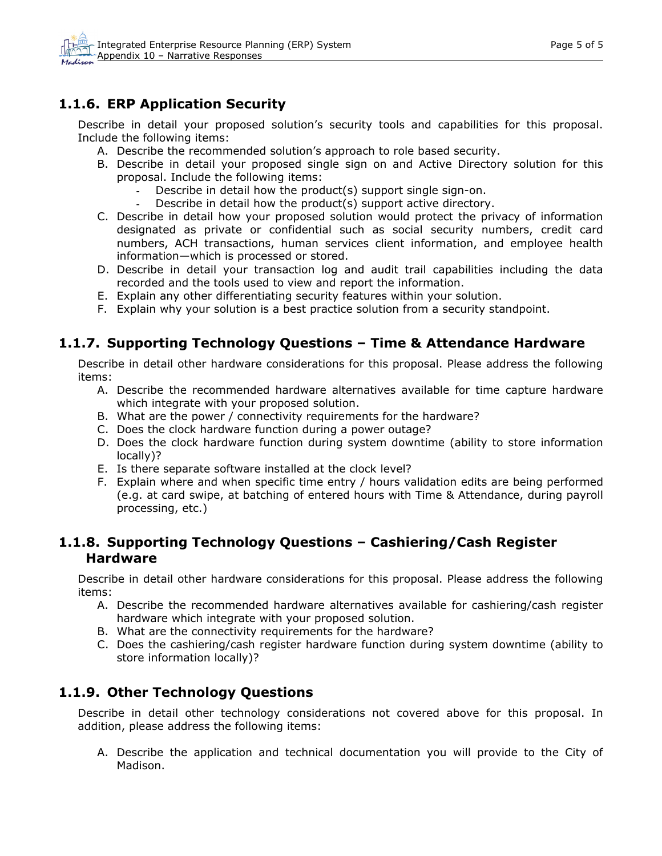## <span id="page-4-0"></span>**1.1.6. ERP Application Security**

Describe in detail your proposed solution's security tools and capabilities for this proposal. Include the following items:

- A. Describe the recommended solution's approach to role based security.
- B. Describe in detail your proposed single sign on and Active Directory solution for this proposal. Include the following items:
	- Describe in detail how the product(s) support single sign-on.
	- Describe in detail how the product(s) support active directory.
- C. Describe in detail how your proposed solution would protect the privacy of information designated as private or confidential such as social security numbers, credit card numbers, ACH transactions, human services client information, and employee health information—which is processed or stored.
- D. Describe in detail your transaction log and audit trail capabilities including the data recorded and the tools used to view and report the information.
- E. Explain any other differentiating security features within your solution.
- F. Explain why your solution is a best practice solution from a security standpoint.

## **1.1.7. Supporting Technology Questions – Time & Attendance Hardware**

Describe in detail other hardware considerations for this proposal. Please address the following items:

- A. Describe the recommended hardware alternatives available for time capture hardware which integrate with your proposed solution.
- B. What are the power / connectivity requirements for the hardware?
- C. Does the clock hardware function during a power outage?
- D. Does the clock hardware function during system downtime (ability to store information locally)?
- E. Is there separate software installed at the clock level?
- F. Explain where and when specific time entry / hours validation edits are being performed (e.g. at card swipe, at batching of entered hours with Time & Attendance, during payroll processing, etc.)

### **1.1.8. Supporting Technology Questions – Cashiering/Cash Register Hardware**

Describe in detail other hardware considerations for this proposal. Please address the following items:

- A. Describe the recommended hardware alternatives available for cashiering/cash register hardware which integrate with your proposed solution.
- B. What are the connectivity requirements for the hardware?
- C. Does the cashiering/cash register hardware function during system downtime (ability to store information locally)?

## **1.1.9. Other Technology Questions**

Describe in detail other technology considerations not covered above for this proposal. In addition, please address the following items:

A. Describe the application and technical documentation you will provide to the City of Madison.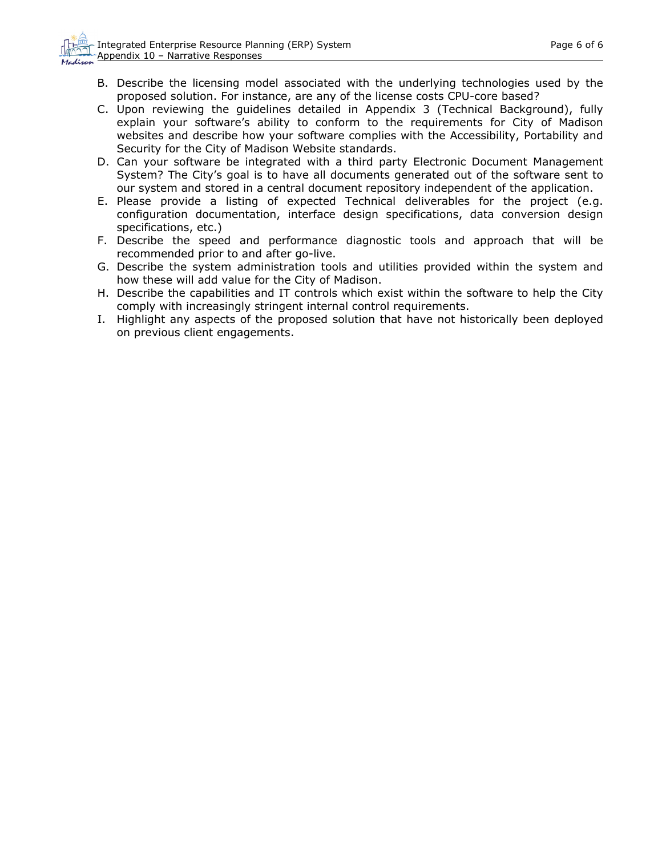- B. Describe the licensing model associated with the underlying technologies used by the proposed solution. For instance, are any of the license costs CPU-core based?
- C. Upon reviewing the guidelines detailed in Appendix 3 (Technical Background), fully explain your software's ability to conform to the requirements for City of Madison websites and describe how your software complies with the Accessibility, Portability and Security for the City of Madison Website standards.
- D. Can your software be integrated with a third party Electronic Document Management System? The City's goal is to have all documents generated out of the software sent to our system and stored in a central document repository independent of the application.
- E. Please provide a listing of expected Technical deliverables for the project (e.g. configuration documentation, interface design specifications, data conversion design specifications, etc.)
- F. Describe the speed and performance diagnostic tools and approach that will be recommended prior to and after go-live.
- G. Describe the system administration tools and utilities provided within the system and how these will add value for the City of Madison.
- H. Describe the capabilities and IT controls which exist within the software to help the City comply with increasingly stringent internal control requirements.
- I. Highlight any aspects of the proposed solution that have not historically been deployed on previous client engagements.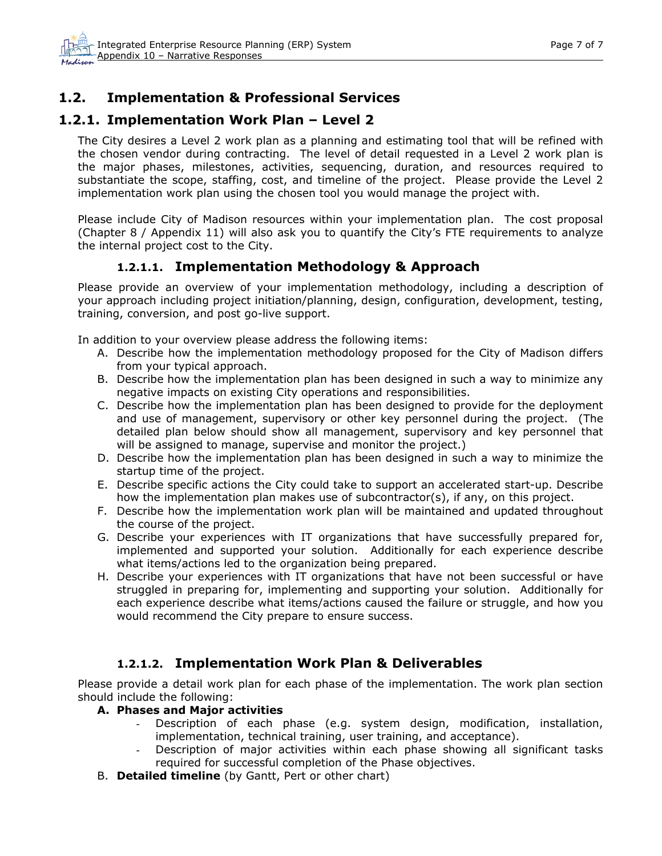## <span id="page-6-0"></span>**1.2. Implementation & Professional Services**

## **1.2.1. Implementation Work Plan – Level 2**

The City desires a Level 2 work plan as a planning and estimating tool that will be refined with the chosen vendor during contracting. The level of detail requested in a Level 2 work plan is the major phases, milestones, activities, sequencing, duration, and resources required to substantiate the scope, staffing, cost, and timeline of the project. Please provide the Level 2 implementation work plan using the chosen tool you would manage the project with.

Please include City of Madison resources within your implementation plan. The cost proposal (Chapter 8 / Appendix 11) will also ask you to quantify the City's FTE requirements to analyze the internal project cost to the City.

### **1.2.1.1. Implementation Methodology & Approach**

Please provide an overview of your implementation methodology, including a description of your approach including project initiation/planning, design, configuration, development, testing, training, conversion, and post go-live support.

In addition to your overview please address the following items:

- A. Describe how the implementation methodology proposed for the City of Madison differs from your typical approach.
- B. Describe how the implementation plan has been designed in such a way to minimize any negative impacts on existing City operations and responsibilities.
- C. Describe how the implementation plan has been designed to provide for the deployment and use of management, supervisory or other key personnel during the project. (The detailed plan below should show all management, supervisory and key personnel that will be assigned to manage, supervise and monitor the project.)
- D. Describe how the implementation plan has been designed in such a way to minimize the startup time of the project.
- E. Describe specific actions the City could take to support an accelerated start-up. Describe how the implementation plan makes use of subcontractor(s), if any, on this project.
- F. Describe how the implementation work plan will be maintained and updated throughout the course of the project.
- G. Describe your experiences with IT organizations that have successfully prepared for, implemented and supported your solution. Additionally for each experience describe what items/actions led to the organization being prepared.
- H. Describe your experiences with IT organizations that have not been successful or have struggled in preparing for, implementing and supporting your solution. Additionally for each experience describe what items/actions caused the failure or struggle, and how you would recommend the City prepare to ensure success.

### **1.2.1.2. Implementation Work Plan & Deliverables**

Please provide a detail work plan for each phase of the implementation. The work plan section should include the following:

- **A. Phases and Major activities** 
	- Description of each phase (e.g. system design, modification, installation, implementation, technical training, user training, and acceptance).
	- Description of major activities within each phase showing all significant tasks required for successful completion of the Phase objectives.
- B. **Detailed timeline** (by Gantt, Pert or other chart)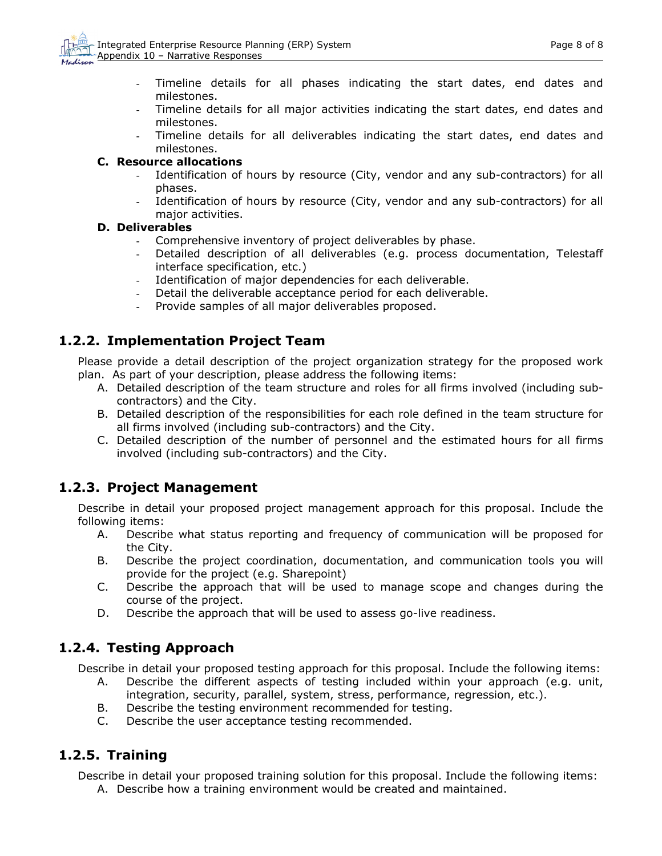- <span id="page-7-0"></span>- Timeline details for all phases indicating the start dates, end dates and milestones.
- Timeline details for all major activities indicating the start dates, end dates and milestones.
- Timeline details for all deliverables indicating the start dates, end dates and milestones.

#### **C. Resource allocations**

- Identification of hours by resource (City, vendor and any sub-contractors) for all phases.
- Identification of hours by resource (City, vendor and any sub-contractors) for all major activities.

#### **D. Deliverables**

- Comprehensive inventory of project deliverables by phase.
- Detailed description of all deliverables (e.g. process documentation, Telestaff interface specification, etc.)
- Identification of major dependencies for each deliverable.
- Detail the deliverable acceptance period for each deliverable.
- Provide samples of all major deliverables proposed.

### **1.2.2. Implementation Project Team**

Please provide a detail description of the project organization strategy for the proposed work plan. As part of your description, please address the following items:

- A. Detailed description of the team structure and roles for all firms involved (including subcontractors) and the City.
- B. Detailed description of the responsibilities for each role defined in the team structure for all firms involved (including sub-contractors) and the City.
- C. Detailed description of the number of personnel and the estimated hours for all firms involved (including sub-contractors) and the City.

### **1.2.3. Project Management**

Describe in detail your proposed project management approach for this proposal. Include the following items:

- A. Describe what status reporting and frequency of communication will be proposed for the City.
- B. Describe the project coordination, documentation, and communication tools you will provide for the project (e.g. Sharepoint)
- C. Describe the approach that will be used to manage scope and changes during the course of the project.
- D. Describe the approach that will be used to assess go-live readiness.

### **1.2.4. Testing Approach**

Describe in detail your proposed testing approach for this proposal. Include the following items:

- A. Describe the different aspects of testing included within your approach (e.g. unit, integration, security, parallel, system, stress, performance, regression, etc.).
- B. Describe the testing environment recommended for testing.
- C. Describe the user acceptance testing recommended.

### **1.2.5. Training**

Describe in detail your proposed training solution for this proposal. Include the following items:

A. Describe how a training environment would be created and maintained.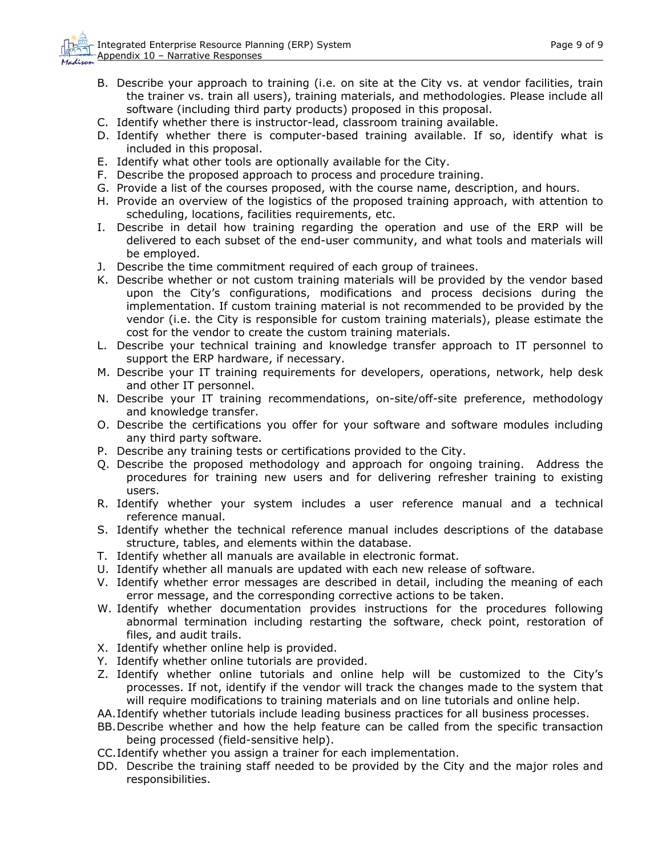- B. Describe your approach to training (i.e. on site at the City vs. at vendor facilities, train the trainer vs. train all users), training materials, and methodologies. Please include all software (including third party products) proposed in this proposal.
- C. Identify whether there is instructor-lead, classroom training available.
- D. Identify whether there is computer-based training available. If so, identify what is included in this proposal.
- E. Identify what other tools are optionally available for the City.
- F. Describe the proposed approach to process and procedure training.
- G. Provide a list of the courses proposed, with the course name, description, and hours.
- H. Provide an overview of the logistics of the proposed training approach, with attention to scheduling, locations, facilities requirements, etc.
- I. Describe in detail how training regarding the operation and use of the ERP will be delivered to each subset of the end-user community, and what tools and materials will be employed.
- J. Describe the time commitment required of each group of trainees.
- K. Describe whether or not custom training materials will be provided by the vendor based upon the City's configurations, modifications and process decisions during the implementation. If custom training material is not recommended to be provided by the vendor (i.e. the City is responsible for custom training materials), please estimate the cost for the vendor to create the custom training materials.
- L. Describe your technical training and knowledge transfer approach to IT personnel to support the ERP hardware, if necessary.
- M. Describe your IT training requirements for developers, operations, network, help desk and other IT personnel.
- N. Describe your IT training recommendations, on-site/off-site preference, methodology and knowledge transfer.
- O. Describe the certifications you offer for your software and software modules including any third party software.
- P. Describe any training tests or certifications provided to the City.
- Q. Describe the proposed methodology and approach for ongoing training. Address the procedures for training new users and for delivering refresher training to existing users.
- R. Identify whether your system includes a user reference manual and a technical reference manual.
- S. Identify whether the technical reference manual includes descriptions of the database structure, tables, and elements within the database.
- T. Identify whether all manuals are available in electronic format.
- U. Identify whether all manuals are updated with each new release of software.
- V. Identify whether error messages are described in detail, including the meaning of each error message, and the corresponding corrective actions to be taken.
- W. Identify whether documentation provides instructions for the procedures following abnormal termination including restarting the software, check point, restoration of files, and audit trails.
- X. Identify whether online help is provided.
- Y. Identify whether online tutorials are provided.
- Z. Identify whether online tutorials and online help will be customized to the City's processes. If not, identify if the vendor will track the changes made to the system that will require modifications to training materials and on line tutorials and online help.
- AA.Identify whether tutorials include leading business practices for all business processes.
- BB.Describe whether and how the help feature can be called from the specific transaction being processed (field-sensitive help).
- CC.Identify whether you assign a trainer for each implementation.
- DD. Describe the training staff needed to be provided by the City and the major roles and responsibilities.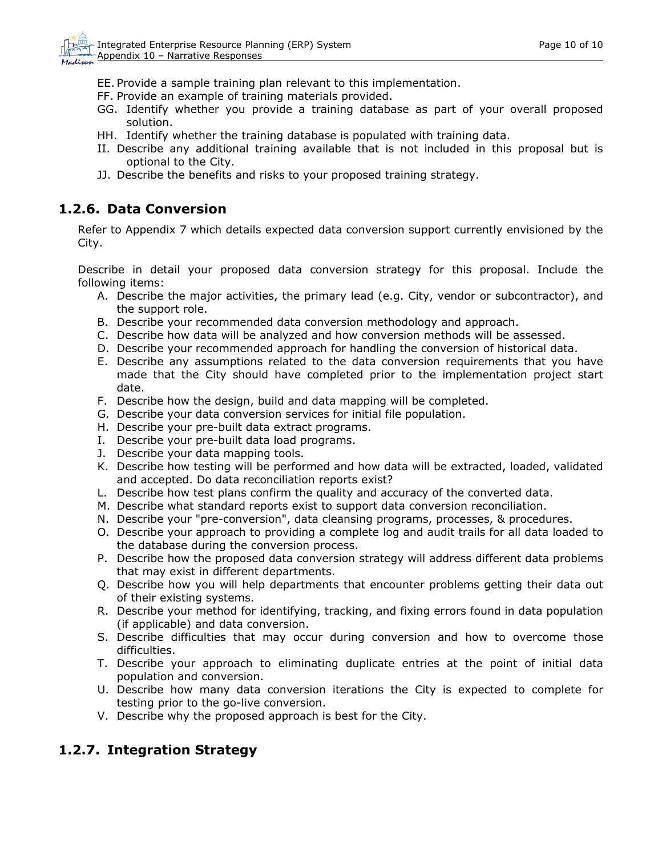<span id="page-9-0"></span>EE. Provide a sample training plan relevant to this implementation.

- FF. Provide an example of training materials provided.
- GG. Identify whether you provide a training database as part of your overall proposed solution.
- HH. Identify whether the training database is populated with training data.
- II. Describe any additional training available that is not included in this proposal but is optional to the City.
- JJ. Describe the benefits and risks to your proposed training strategy.

## **1.2.6. Data Conversion**

Refer to Appendix 7 which details expected data conversion support currently envisioned by the City.

Describe in detail your proposed data conversion strategy for this proposal. Include the following items:

- A. Describe the major activities, the primary lead (e.g. City, vendor or subcontractor), and the support role.
- B. Describe your recommended data conversion methodology and approach.
- C. Describe how data will be analyzed and how conversion methods will be assessed.
- D. Describe your recommended approach for handling the conversion of historical data.
- E. Describe any assumptions related to the data conversion requirements that you have made that the City should have completed prior to the implementation project start date.
- F. Describe how the design, build and data mapping will be completed.
- G. Describe your data conversion services for initial file population.
- H. Describe your pre-built data extract programs.
- I. Describe your pre-built data load programs.
- J. Describe your data mapping tools.
- K. Describe how testing will be performed and how data will be extracted, loaded, validated and accepted. Do data reconciliation reports exist?
- L. Describe how test plans confirm the quality and accuracy of the converted data.
- M. Describe what standard reports exist to support data conversion reconciliation.
- N. Describe your "pre-conversion", data cleansing programs, processes, & procedures.
- O. Describe your approach to providing a complete log and audit trails for all data loaded to the database during the conversion process.
- P. Describe how the proposed data conversion strategy will address different data problems that may exist in different departments.
- Q. Describe how you will help departments that encounter problems getting their data out of their existing systems.
- R. Describe your method for identifying, tracking, and fixing errors found in data population (if applicable) and data conversion.
- S. Describe difficulties that may occur during conversion and how to overcome those difficulties.
- T. Describe your approach to eliminating duplicate entries at the point of initial data population and conversion.
- U. Describe how many data conversion iterations the City is expected to complete for testing prior to the go-live conversion.
- V. Describe why the proposed approach is best for the City.

## **1.2.7. Integration Strategy**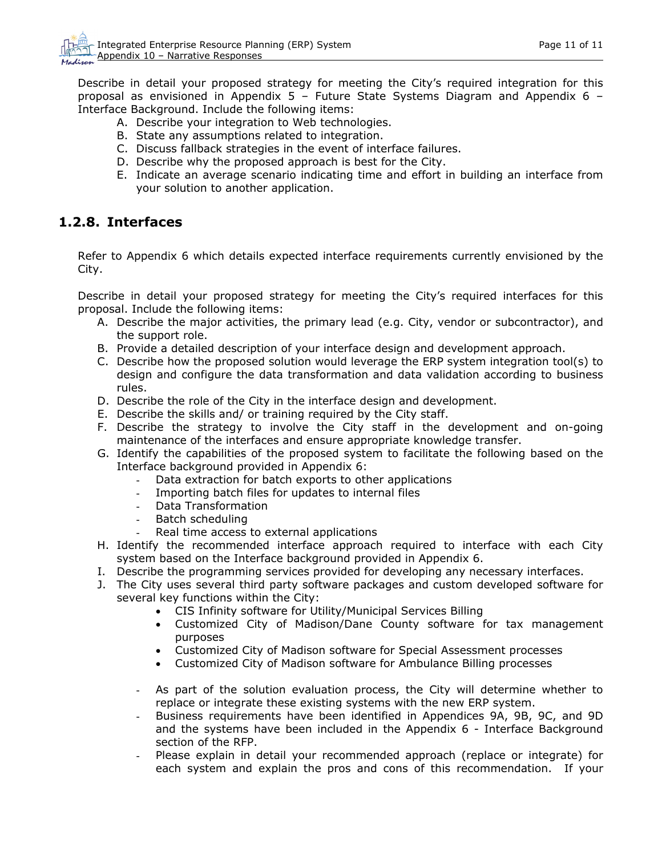<span id="page-10-0"></span>Describe in detail your proposed strategy for meeting the City's required integration for this proposal as envisioned in Appendix 5 – Future State Systems Diagram and Appendix 6 – Interface Background. Include the following items:

- A. Describe your integration to Web technologies.
- B. State any assumptions related to integration.
- C. Discuss fallback strategies in the event of interface failures.
- D. Describe why the proposed approach is best for the City.
- E. Indicate an average scenario indicating time and effort in building an interface from your solution to another application.

### **1.2.8. Interfaces**

Refer to Appendix 6 which details expected interface requirements currently envisioned by the City.

Describe in detail your proposed strategy for meeting the City's required interfaces for this proposal. Include the following items:

- A. Describe the major activities, the primary lead (e.g. City, vendor or subcontractor), and the support role.
- B. Provide a detailed description of your interface design and development approach.
- C. Describe how the proposed solution would leverage the ERP system integration tool(s) to design and configure the data transformation and data validation according to business rules.
- D. Describe the role of the City in the interface design and development.
- E. Describe the skills and/ or training required by the City staff.
- F. Describe the strategy to involve the City staff in the development and on-going maintenance of the interfaces and ensure appropriate knowledge transfer.
- G. Identify the capabilities of the proposed system to facilitate the following based on the Interface background provided in Appendix 6:
	- Data extraction for batch exports to other applications
	- Importing batch files for updates to internal files
	- Data Transformation
	- Batch scheduling
	- Real time access to external applications
- H. Identify the recommended interface approach required to interface with each City system based on the Interface background provided in Appendix 6.
- I. Describe the programming services provided for developing any necessary interfaces.
- J. The City uses several third party software packages and custom developed software for several key functions within the City:
	- CIS Infinity software for Utility/Municipal Services Billing
	- Customized City of Madison/Dane County software for tax management purposes
	- Customized City of Madison software for Special Assessment processes
	- Customized City of Madison software for Ambulance Billing processes
	- As part of the solution evaluation process, the City will determine whether to replace or integrate these existing systems with the new ERP system.
	- Business requirements have been identified in Appendices 9A, 9B, 9C, and 9D and the systems have been included in the Appendix 6 - Interface Background section of the RFP.
	- Please explain in detail your recommended approach (replace or integrate) for each system and explain the pros and cons of this recommendation. If your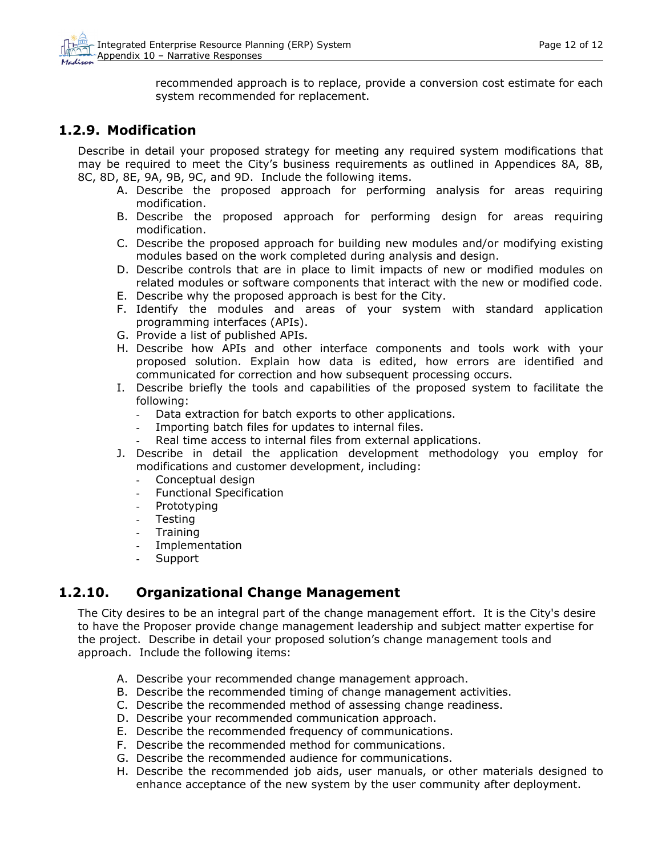recommended approach is to replace, provide a conversion cost estimate for each system recommended for replacement.

### <span id="page-11-0"></span>**1.2.9. Modification**

Describe in detail your proposed strategy for meeting any required system modifications that may be required to meet the City's business requirements as outlined in Appendices 8A, 8B, 8C, 8D, 8E, 9A, 9B, 9C, and 9D. Include the following items.

- A. Describe the proposed approach for performing analysis for areas requiring modification.
- B. Describe the proposed approach for performing design for areas requiring modification.
- C. Describe the proposed approach for building new modules and/or modifying existing modules based on the work completed during analysis and design.
- D. Describe controls that are in place to limit impacts of new or modified modules on related modules or software components that interact with the new or modified code.
- E. Describe why the proposed approach is best for the City.
- F. Identify the modules and areas of your system with standard application programming interfaces (APIs).
- G. Provide a list of published APIs.
- H. Describe how APIs and other interface components and tools work with your proposed solution. Explain how data is edited, how errors are identified and communicated for correction and how subsequent processing occurs.
- I. Describe briefly the tools and capabilities of the proposed system to facilitate the following:
	- Data extraction for batch exports to other applications.
	- Importing batch files for updates to internal files.
	- Real time access to internal files from external applications.
- J. Describe in detail the application development methodology you employ for modifications and customer development, including:
	- Conceptual design
	- Functional Specification
	- Prototyping
	- Testing
	- Training
	- **Implementation**
	- **Support**

## **1.2.10. Organizational Change Management**

The City desires to be an integral part of the change management effort. It is the City's desire to have the Proposer provide change management leadership and subject matter expertise for the project. Describe in detail your proposed solution's change management tools and approach. Include the following items:

- A. Describe your recommended change management approach.
- B. Describe the recommended timing of change management activities.
- C. Describe the recommended method of assessing change readiness.
- D. Describe your recommended communication approach.
- E. Describe the recommended frequency of communications.
- F. Describe the recommended method for communications.
- G. Describe the recommended audience for communications.
- H. Describe the recommended job aids, user manuals, or other materials designed to enhance acceptance of the new system by the user community after deployment.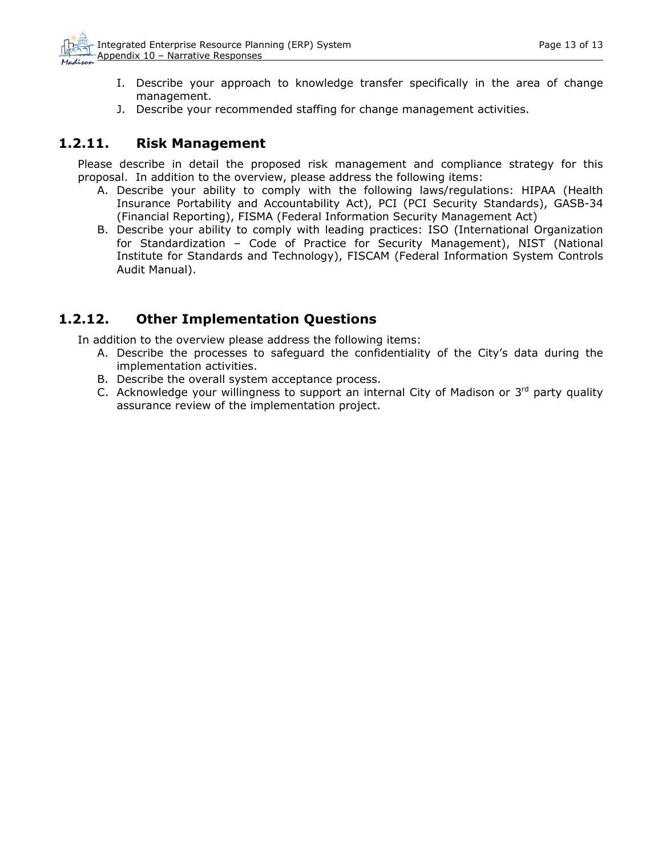- <span id="page-12-0"></span>I. Describe your approach to knowledge transfer specifically in the area of change management.
- J. Describe your recommended staffing for change management activities.

### **1.2.11. Risk Management**

Please describe in detail the proposed risk management and compliance strategy for this proposal. In addition to the overview, please address the following items:

- A. Describe your ability to comply with the following laws/regulations: HIPAA (Health Insurance Portability and Accountability Act), PCI (PCI Security Standards), GASB-34 (Financial Reporting), FISMA (Federal Information Security Management Act)
- B. Describe your ability to comply with leading practices: ISO (International Organization for Standardization – Code of Practice for Security Management), NIST (National Institute for Standards and Technology), FISCAM (Federal Information System Controls Audit Manual).

## **1.2.12. Other Implementation Questions**

In addition to the overview please address the following items:

- A. Describe the processes to safeguard the confidentiality of the City's data during the implementation activities.
- B. Describe the overall system acceptance process.
- C. Acknowledge your willingness to support an internal City of Madison or  $3<sup>rd</sup>$  party quality assurance review of the implementation project.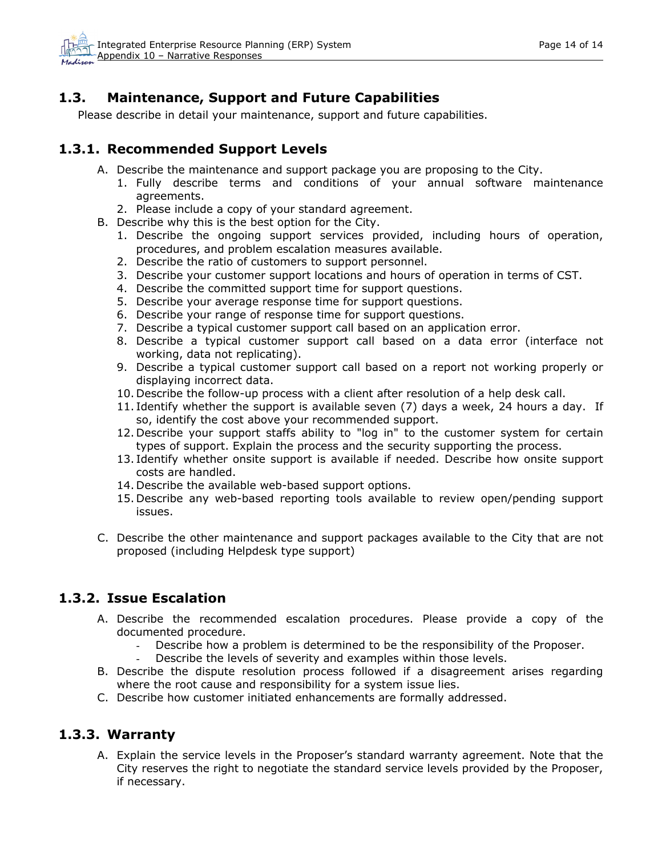## <span id="page-13-0"></span>**1.3. Maintenance, Support and Future Capabilities**

Please describe in detail your maintenance, support and future capabilities.

### **1.3.1. Recommended Support Levels**

- A. Describe the maintenance and support package you are proposing to the City.
	- 1. Fully describe terms and conditions of your annual software maintenance agreements.
	- 2. Please include a copy of your standard agreement.
- B. Describe why this is the best option for the City.
	- 1. Describe the ongoing support services provided, including hours of operation, procedures, and problem escalation measures available.
	- 2. Describe the ratio of customers to support personnel.
	- 3. Describe your customer support locations and hours of operation in terms of CST.
	- 4. Describe the committed support time for support questions.
	- 5. Describe your average response time for support questions.
	- 6. Describe your range of response time for support questions.
	- 7. Describe a typical customer support call based on an application error.
	- 8. Describe a typical customer support call based on a data error (interface not working, data not replicating).
	- 9. Describe a typical customer support call based on a report not working properly or displaying incorrect data.
	- 10. Describe the follow-up process with a client after resolution of a help desk call.
	- 11. Identify whether the support is available seven (7) days a week, 24 hours a day. If so, identify the cost above your recommended support.
	- 12. Describe your support staffs ability to "log in" to the customer system for certain types of support. Explain the process and the security supporting the process.
	- 13. Identify whether onsite support is available if needed. Describe how onsite support costs are handled.
	- 14. Describe the available web-based support options.
	- 15. Describe any web-based reporting tools available to review open/pending support issues.
- C. Describe the other maintenance and support packages available to the City that are not proposed (including Helpdesk type support)

### **1.3.2. Issue Escalation**

- A. Describe the recommended escalation procedures. Please provide a copy of the documented procedure.
	- Describe how a problem is determined to be the responsibility of the Proposer.
	- Describe the levels of severity and examples within those levels.
- B. Describe the dispute resolution process followed if a disagreement arises regarding where the root cause and responsibility for a system issue lies.
- C. Describe how customer initiated enhancements are formally addressed.

### **1.3.3. Warranty**

A. Explain the service levels in the Proposer's standard warranty agreement. Note that the City reserves the right to negotiate the standard service levels provided by the Proposer, if necessary.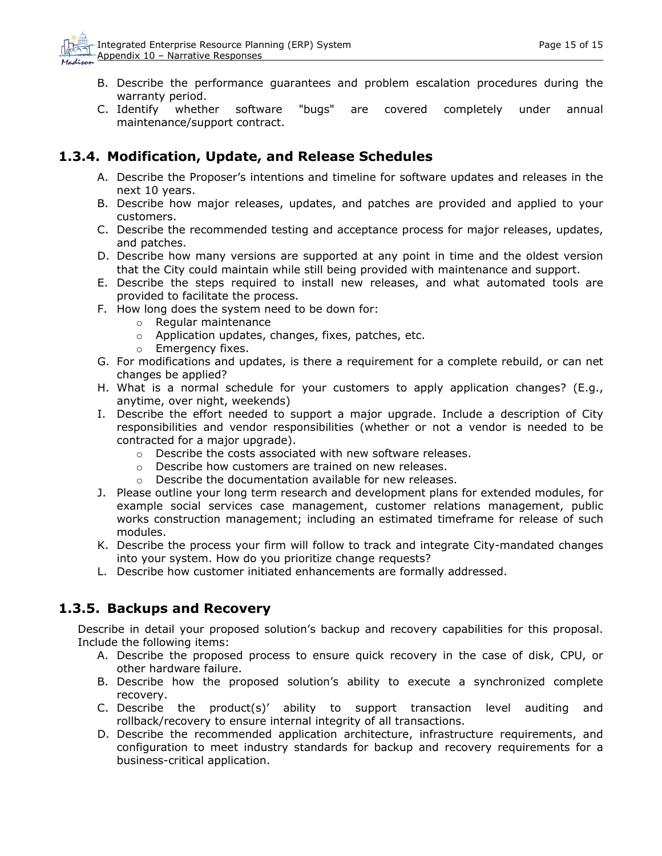- <span id="page-14-0"></span>B. Describe the performance guarantees and problem escalation procedures during the warranty period.
- C. Identify whether software "bugs" are covered completely under annual maintenance/support contract.

## **1.3.4. Modification, Update, and Release Schedules**

- A. Describe the Proposer's intentions and timeline for software updates and releases in the next 10 years.
- B. Describe how major releases, updates, and patches are provided and applied to your customers.
- C. Describe the recommended testing and acceptance process for major releases, updates, and patches.
- D. Describe how many versions are supported at any point in time and the oldest version that the City could maintain while still being provided with maintenance and support.
- E. Describe the steps required to install new releases, and what automated tools are provided to facilitate the process.
- F. How long does the system need to be down for:
	- o Regular maintenance
	- o Application updates, changes, fixes, patches, etc.
	- o Emergency fixes.
- G. For modifications and updates, is there a requirement for a complete rebuild, or can net changes be applied?
- H. What is a normal schedule for your customers to apply application changes? (E.g., anytime, over night, weekends)
- I. Describe the effort needed to support a major upgrade. Include a description of City responsibilities and vendor responsibilities (whether or not a vendor is needed to be contracted for a major upgrade).
	- o Describe the costs associated with new software releases.
	- o Describe how customers are trained on new releases.
	- o Describe the documentation available for new releases.
- J. Please outline your long term research and development plans for extended modules, for example social services case management, customer relations management, public works construction management; including an estimated timeframe for release of such modules.
- K. Describe the process your firm will follow to track and integrate City-mandated changes into your system. How do you prioritize change requests?
- L. Describe how customer initiated enhancements are formally addressed.

### **1.3.5. Backups and Recovery**

Describe in detail your proposed solution's backup and recovery capabilities for this proposal. Include the following items:

- A. Describe the proposed process to ensure quick recovery in the case of disk, CPU, or other hardware failure.
- B. Describe how the proposed solution's ability to execute a synchronized complete recovery.
- C. Describe the product(s)' ability to support transaction level auditing and rollback/recovery to ensure internal integrity of all transactions.
- D. Describe the recommended application architecture, infrastructure requirements, and configuration to meet industry standards for backup and recovery requirements for a business-critical application.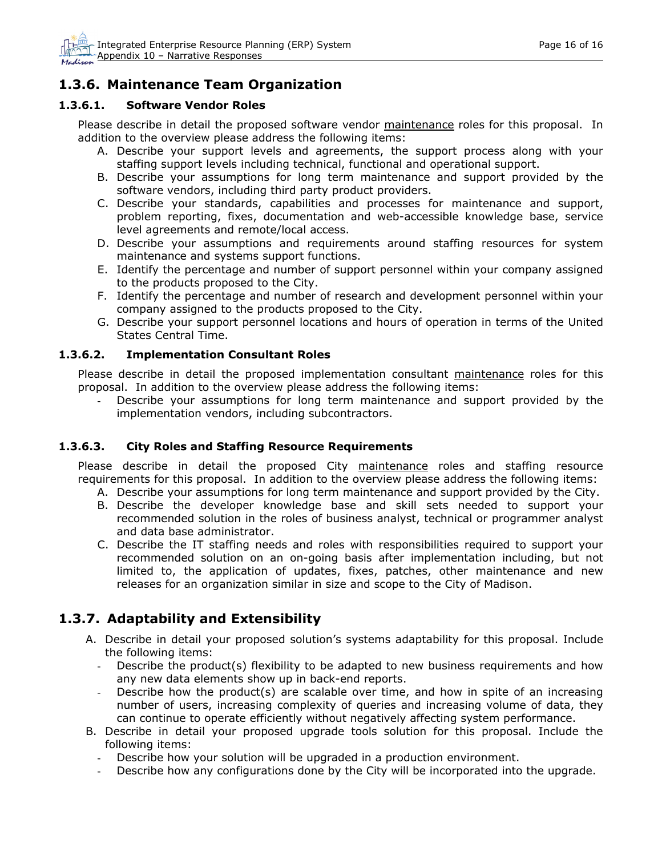## <span id="page-15-0"></span>**1.3.6. Maintenance Team Organization**

#### **1.3.6.1. Software Vendor Roles**

Please describe in detail the proposed software vendor maintenance roles for this proposal. In addition to the overview please address the following items:

- A. Describe your support levels and agreements, the support process along with your staffing support levels including technical, functional and operational support.
- B. Describe your assumptions for long term maintenance and support provided by the software vendors, including third party product providers.
- C. Describe your standards, capabilities and processes for maintenance and support, problem reporting, fixes, documentation and web-accessible knowledge base, service level agreements and remote/local access.
- D. Describe your assumptions and requirements around staffing resources for system maintenance and systems support functions.
- E. Identify the percentage and number of support personnel within your company assigned to the products proposed to the City.
- F. Identify the percentage and number of research and development personnel within your company assigned to the products proposed to the City.
- G. Describe your support personnel locations and hours of operation in terms of the United States Central Time.

#### **1.3.6.2. Implementation Consultant Roles**

Please describe in detail the proposed implementation consultant maintenance roles for this proposal. In addition to the overview please address the following items:

Describe your assumptions for long term maintenance and support provided by the implementation vendors, including subcontractors.

#### **1.3.6.3. City Roles and Staffing Resource Requirements**

Please describe in detail the proposed City maintenance roles and staffing resource requirements for this proposal. In addition to the overview please address the following items:

- A. Describe your assumptions for long term maintenance and support provided by the City.
- B. Describe the developer knowledge base and skill sets needed to support your recommended solution in the roles of business analyst, technical or programmer analyst and data base administrator.
- C. Describe the IT staffing needs and roles with responsibilities required to support your recommended solution on an on-going basis after implementation including, but not limited to, the application of updates, fixes, patches, other maintenance and new releases for an organization similar in size and scope to the City of Madison.

## **1.3.7. Adaptability and Extensibility**

- A. Describe in detail your proposed solution's systems adaptability for this proposal. Include the following items:
	- Describe the product(s) flexibility to be adapted to new business requirements and how any new data elements show up in back-end reports.
	- Describe how the product(s) are scalable over time, and how in spite of an increasing number of users, increasing complexity of queries and increasing volume of data, they can continue to operate efficiently without negatively affecting system performance.
- B. Describe in detail your proposed upgrade tools solution for this proposal. Include the following items:
	- Describe how your solution will be upgraded in a production environment.
	- Describe how any configurations done by the City will be incorporated into the upgrade.